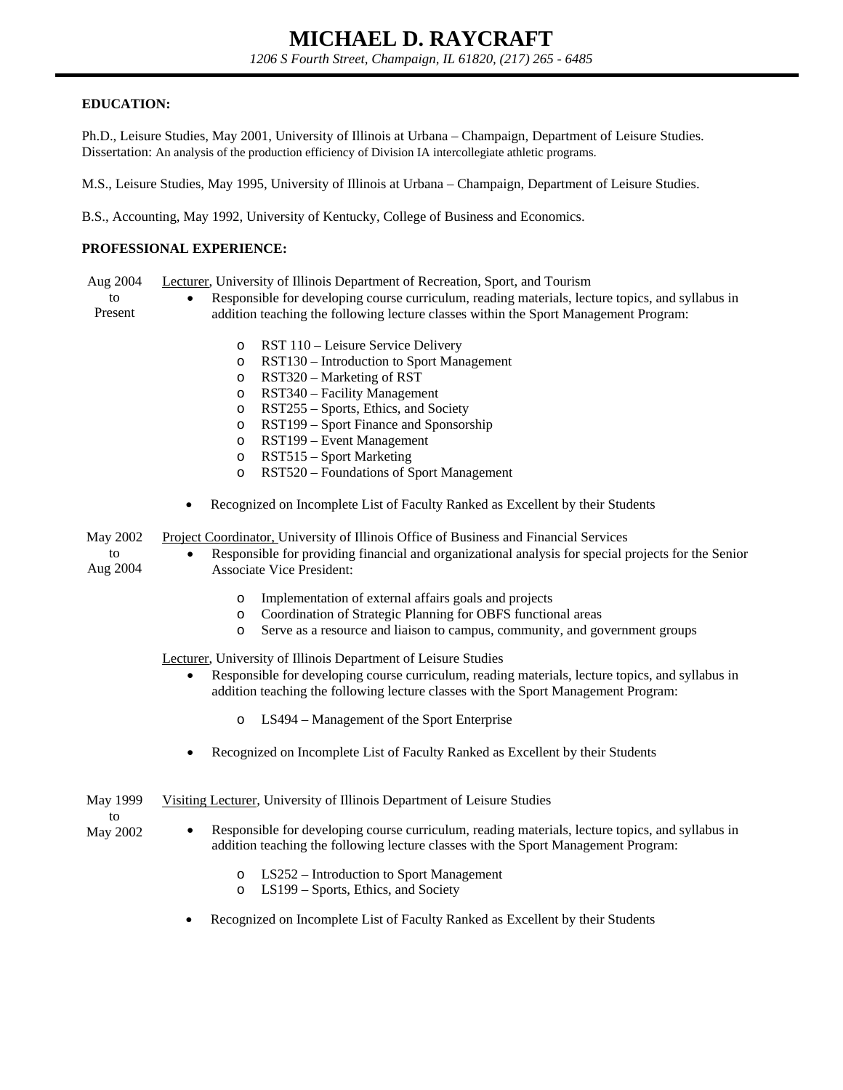## **EDUCATION:**

Ph.D., Leisure Studies, May 2001, University of Illinois at Urbana – Champaign, Department of Leisure Studies. Dissertation: An analysis of the production efficiency of Division IA intercollegiate athletic programs.

M.S., Leisure Studies, May 1995, University of Illinois at Urbana – Champaign, Department of Leisure Studies.

B.S., Accounting, May 1992, University of Kentucky, College of Business and Economics.

## **PROFESSIONAL EXPERIENCE:**

Aug 2004 Lecturer, University of Illinois Department of Recreation, Sport, and Tourism

to Present Responsible for developing course curriculum, reading materials, lecture topics, and syllabus in addition teaching the following lecture classes within the Sport Management Program:

- o RST 110 Leisure Service Delivery
- o RST130 Introduction to Sport Management
- o RST320 Marketing of RST
- o RST340 Facility Management
- o RST255 Sports, Ethics, and Society
- o RST199 Sport Finance and Sponsorship
- o RST199 Event Management
- o RST515 Sport Marketing
- o RST520 Foundations of Sport Management
- Recognized on Incomplete List of Faculty Ranked as Excellent by their Students

May 2002 Project Coordinator, University of Illinois Office of Business and Financial Services

- to Aug 2004 Responsible for providing financial and organizational analysis for special projects for the Senior Associate Vice President:
	- o Implementation of external affairs goals and projects
	- o Coordination of Strategic Planning for OBFS functional areas
	- o Serve as a resource and liaison to campus, community, and government groups

Lecturer, University of Illinois Department of Leisure Studies

- Responsible for developing course curriculum, reading materials, lecture topics, and syllabus in addition teaching the following lecture classes with the Sport Management Program:
	- LS494 Management of the Sport Enterprise
- Recognized on Incomplete List of Faculty Ranked as Excellent by their Students
- May 1999 Visiting Lecturer, University of Illinois Department of Leisure Studies
- to May 2002
- Responsible for developing course curriculum, reading materials, lecture topics, and syllabus in addition teaching the following lecture classes with the Sport Management Program:
	- o LS252 Introduction to Sport Management
	- o LS199 Sports, Ethics, and Society
- Recognized on Incomplete List of Faculty Ranked as Excellent by their Students